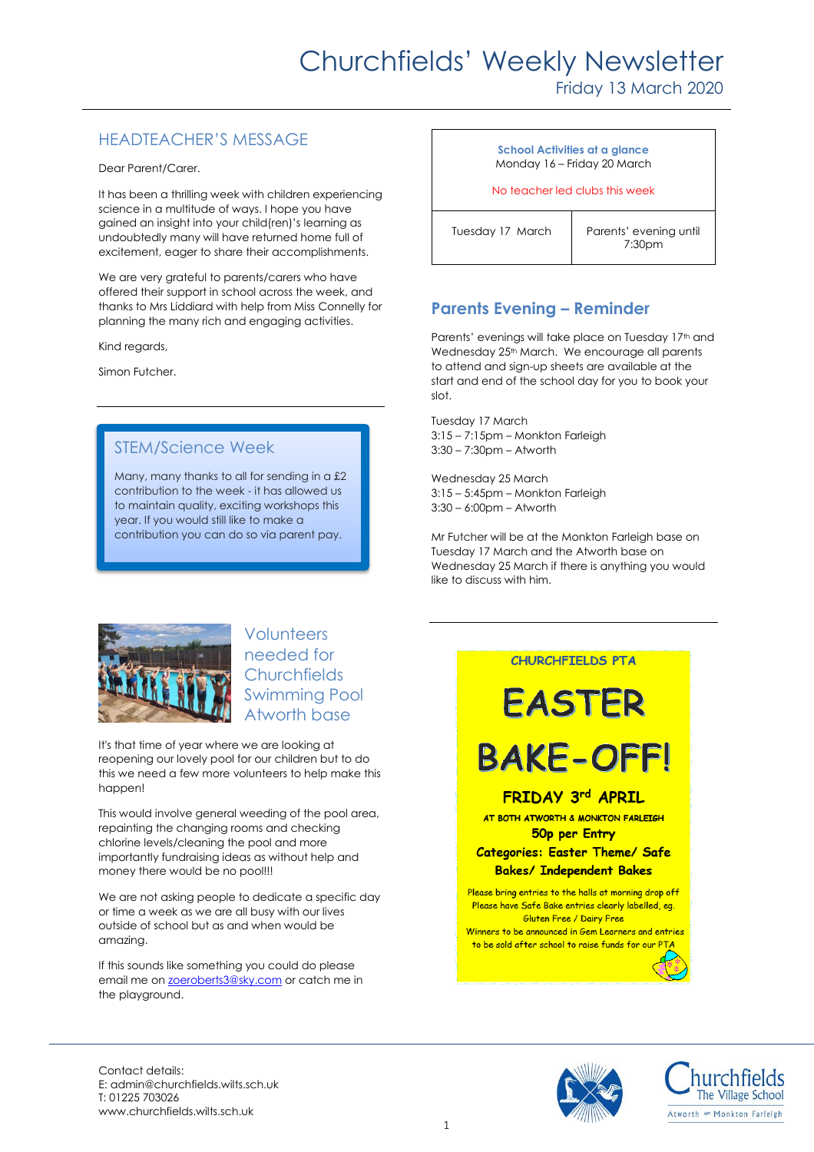## Churchfields' Weekly Newsletter

## Friday 13 March 2020

## HEADTEACHER'S MESSAGE

Dear Parent/Carer.

It has been a thrilling week with children experiencing science in a multitude of ways. I hope you have gained an insight into your child(ren)'s learning as undoubtedly many will have returned home full of excitement, eager to share their accomplishments.

We are very grateful to parents/carers who have offered their support in school across the week, and thanks to Mrs Liddiard with help from Miss Connelly for planning the many rich and engaging activities.

Kind regards,

Simon Futcher.

## STEM/Science Week

Many, many thanks to all for sending in a £2 contribution to the week - it has allowed us to maintain quality, exciting workshops this year. If you would still like to make a contribution you can do so via parent pay.

#### **School Activities at a glance** Monday 16 – Friday 20 March

No teacher led clubs this week

Tuesday 17 March | Parents' evening until

7:30pm

## **Parents Evening – Reminder**

Parents' evenings will take place on Tuesday 17<sup>th</sup> and Wednesday 25<sup>th</sup> March. We encourage all parents to attend and sign-up sheets are available at the start and end of the school day for you to book your slot.

Tuesday 17 March 3:15 – 7:15pm – Monkton Farleigh 3:30 – 7:30pm – Atworth

Wednesday 25 March 3:15 – 5:45pm – Monkton Farleigh 3:30 – 6:00pm – Atworth

Mr Futcher will be at the Monkton Farleigh base on Tuesday 17 March and the Atworth base on Wednesday 25 March if there is anything you would like to discuss with him.



Volunteers needed for **Churchfields** Swimming Pool Atworth base

It's that time of year where we are looking at reopening our lovely pool for our children but to do this we need a few more volunteers to help make this happen!

This would involve general weeding of the pool area, repainting the changing rooms and checking chlorine levels/cleaning the pool and more importantly fundraising ideas as without help and money there would be no pool!!!

We are not asking people to dedicate a specific day or time a week as we are all busy with our lives outside of school but as and when would be amazing.

If this sounds like something you could do please email me on **zoeroberts3@sky.com** or catch me in the playground.

#### **CHURCHFIELDS PTA**

# EASTER

## **BAKE-OFFI**

**FRIDAY 3rd APRIL** 

AT BOTH ATWORTH & MONKTON FARLEIGH 50p per Entry

#### **Categories: Easter Theme/ Safe Bakes/ Independent Bakes**

Please bring entries to the halls at morning drop off Please have Safe Bake entries clearly labelled, eg. Gluten Free / Dairy Free

Winners to be announced in Gem Learners and entries to be sold after school to raise funds for our P





Contact details: E: admin@churchfields.wilts.sch.uk T: 01225 703026 www.churchfields.wilts.sch.uk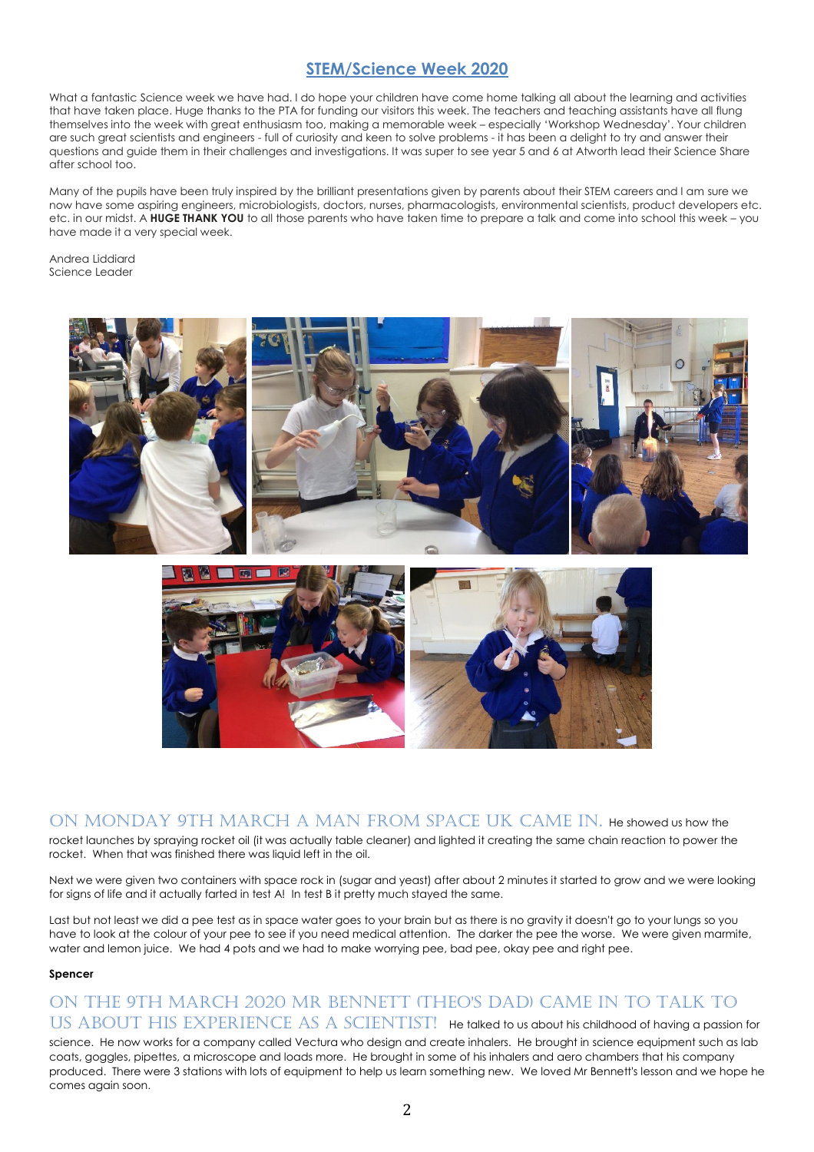## **STEM/Science Week 2020**

What a fantastic Science week we have had. I do hope your children have come home talking all about the learning and activities that have taken place. Huge thanks to the PTA for funding our visitors this week. The teachers and teaching assistants have all flung themselves into the week with great enthusiasm too, making a memorable week – especially 'Workshop Wednesday'. Your children are such great scientists and engineers - full of curiosity and keen to solve problems - it has been a delight to try and answer their questions and guide them in their challenges and investigations. It was super to see year 5 and 6 at Atworth lead their Science Share after school too.

Many of the pupils have been truly inspired by the brilliant presentations given by parents about their STEM careers and I am sure we now have some aspiring engineers, microbiologists, doctors, nurses, pharmacologists, environmental scientists, product developers etc. etc. in our midst. A **HUGE THANK YOU** to all those parents who have taken time to prepare a talk and come into school this week – you have made it a very special week.

Andrea Liddiard Science Leader



ON MONDAY 9TH MARCH A MAN FROM SPACE UK CAME IN. He showed us how the rocket launches by spraying rocket oil (it was actually table cleaner) and lighted it creating the same chain reaction to power the rocket. When that was finished there was liquid left in the oil.

Next we were given two containers with space rock in (sugar and yeast) after about 2 minutes it started to grow and we were looking for signs of life and it actually farted in test A! In test B it pretty much stayed the same.

Last but not least we did a pee test as in space water goes to your brain but as there is no gravity it doesn't go to your lungs so you have to look at the colour of your pee to see if you need medical attention. The darker the pee the worse. We were given marmite, water and lemon juice. We had 4 pots and we had to make worrying pee, bad pee, okay pee and right pee.

#### **Spencer**

## On the 9th March 2020 Mr Bennett (Theo's dad) came in to talk to US ABOUT HIS EXPERIENCE AS A SCIENTIST! He talked to us about his childhood of having a passion for

science. He now works for a company called Vectura who design and create inhalers. He brought in science equipment such as lab coats, goggles, pipettes, a microscope and loads more. He brought in some of his inhalers and aero chambers that his company produced. There were 3 stations with lots of equipment to help us learn something new. We loved Mr Bennett's lesson and we hope he comes again soon.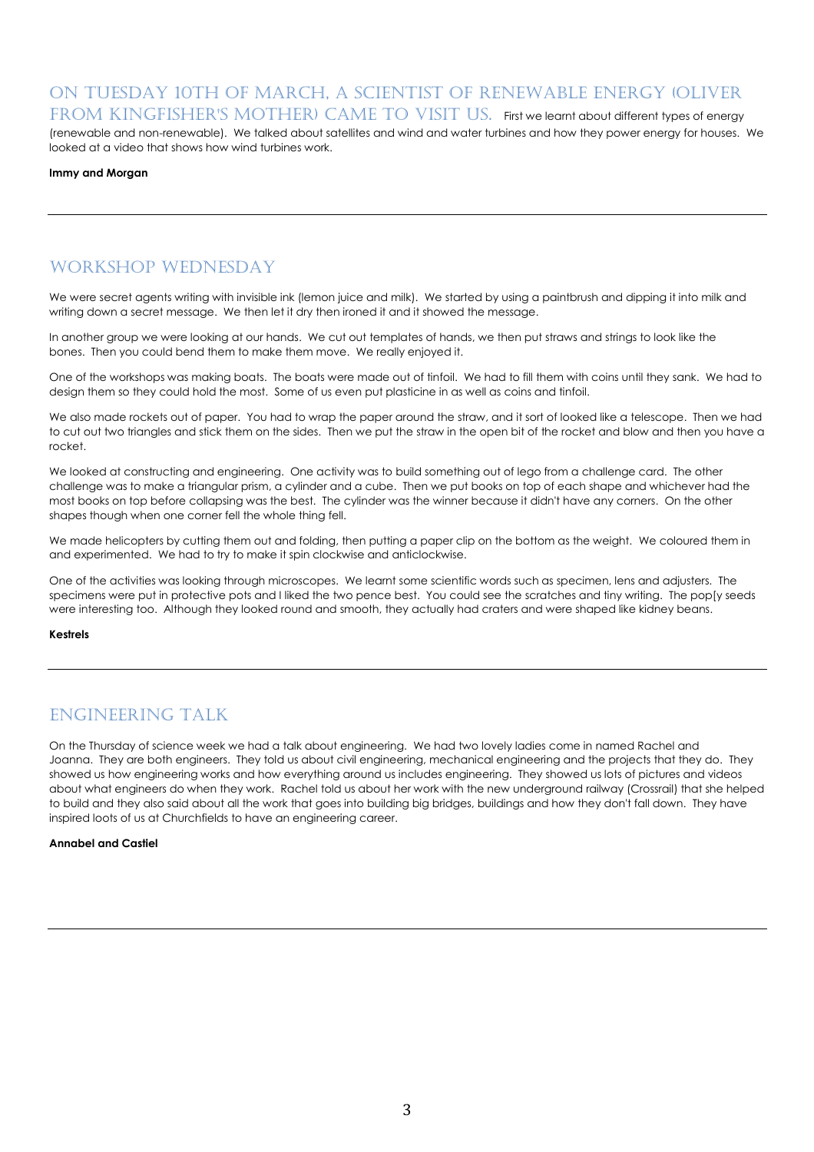### On Tuesday 10th of March, a scientist of renewable energy (Oliver FROM KINGFISHER'S MOTHER) CAME TO VISIT US. First we learnt about different types of energy

(renewable and non-renewable). We talked about satellites and wind and water turbines and how they power energy for houses. We looked at a video that shows how wind turbines work.

#### **Immy and Morgan**

## Workshop Wednesday

We were secret agents writing with invisible ink (lemon juice and milk). We started by using a paintbrush and dipping it into milk and writing down a secret message. We then let it dry then ironed it and it showed the message.

In another group we were looking at our hands. We cut out templates of hands, we then put straws and strings to look like the bones. Then you could bend them to make them move. We really enjoyed it.

One of the workshops was making boats. The boats were made out of tinfoil. We had to fill them with coins until they sank. We had to design them so they could hold the most. Some of us even put plasticine in as well as coins and tinfoil.

We also made rockets out of paper. You had to wrap the paper around the straw, and it sort of looked like a telescope. Then we had to cut out two triangles and stick them on the sides. Then we put the straw in the open bit of the rocket and blow and then you have a rocket.

We looked at constructing and engineering. One activity was to build something out of lego from a challenge card. The other challenge was to make a triangular prism, a cylinder and a cube. Then we put books on top of each shape and whichever had the most books on top before collapsing was the best. The cylinder was the winner because it didn't have any corners. On the other shapes though when one corner fell the whole thing fell.

We made helicopters by cutting them out and folding, then putting a paper clip on the bottom as the weight. We coloured them in and experimented. We had to try to make it spin clockwise and anticlockwise.

One of the activities was looking through microscopes. We learnt some scientific words such as specimen, lens and adjusters. The specimens were put in protective pots and I liked the two pence best. You could see the scratches and tiny writing. The pop[y seeds were interesting too. Although they looked round and smooth, they actually had craters and were shaped like kidney beans.

#### **Kestrels**

## Engineering talk

On the Thursday of science week we had a talk about engineering. We had two lovely ladies come in named Rachel and Joanna. They are both engineers. They told us about civil engineering, mechanical engineering and the projects that they do. They showed us how engineering works and how everything around us includes engineering. They showed us lots of pictures and videos about what engineers do when they work. Rachel told us about her work with the new underground railway (Crossrail) that she helped to build and they also said about all the work that goes into building big bridges, buildings and how they don't fall down. They have inspired loots of us at Churchfields to have an engineering career.

#### **Annabel and Castiel**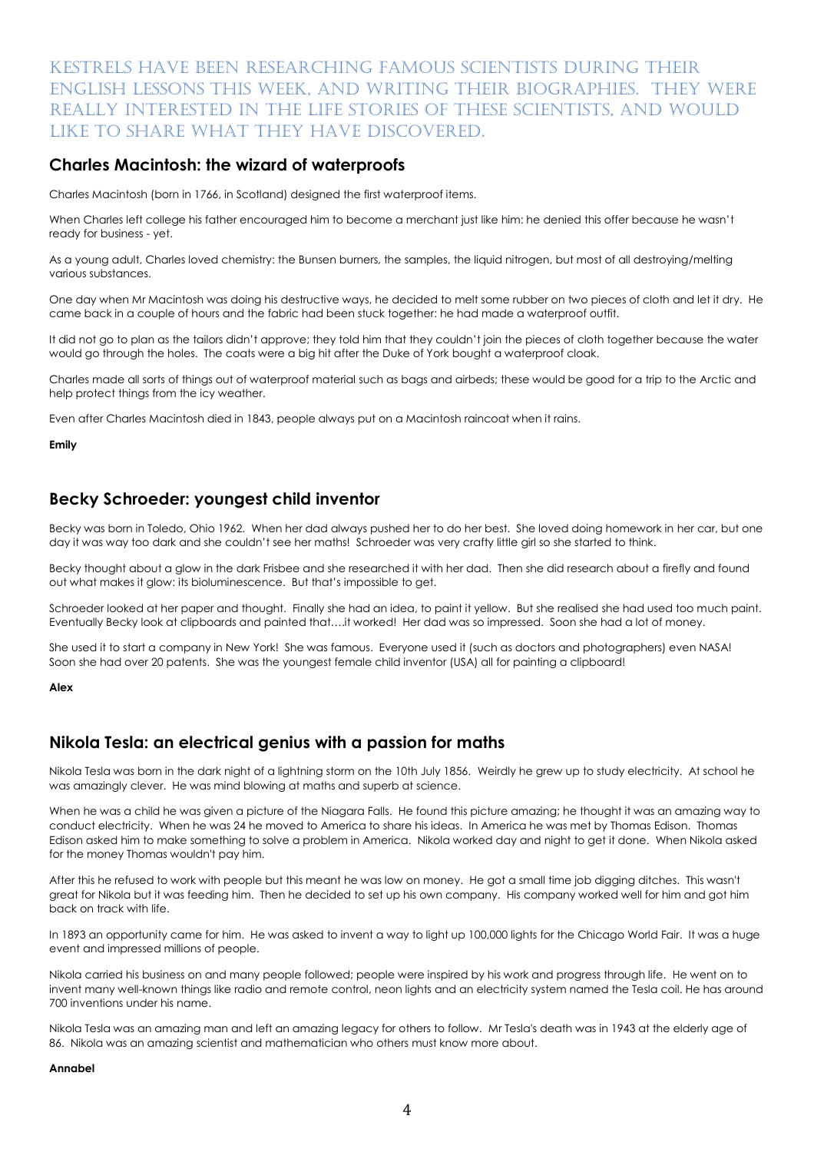## Kestrels have been researching famous scientists during their English lessons this week, and writing their biographies. They were really interested in the life stories of these scientists, and would like to share what they have discovered.

### **Charles Macintosh: the wizard of waterproofs**

Charles Macintosh (born in 1766, in Scotland) designed the first waterproof items.

When Charles left college his father encouraged him to become a merchant just like him: he denied this offer because he wasn't ready for business - yet.

As a young adult, Charles loved chemistry: the Bunsen burners, the samples, the liquid nitrogen, but most of all destroying/melting various substances.

One day when Mr Macintosh was doing his destructive ways, he decided to melt some rubber on two pieces of cloth and let it dry. He came back in a couple of hours and the fabric had been stuck together: he had made a waterproof outfit.

It did not go to plan as the tailors didn't approve; they told him that they couldn't join the pieces of cloth together because the water would go through the holes. The coats were a big hit after the Duke of York bought a waterproof cloak.

Charles made all sorts of things out of waterproof material such as bags and airbeds; these would be good for a trip to the Arctic and help protect things from the icy weather.

Even after Charles Macintosh died in 1843, people always put on a Macintosh raincoat when it rains.

**Emily**

## **Becky Schroeder: youngest child inventor**

Becky was born in Toledo, Ohio 1962. When her dad always pushed her to do her best. She loved doing homework in her car, but one day it was way too dark and she couldn't see her maths! Schroeder was very crafty little girl so she started to think.

Becky thought about a glow in the dark Frisbee and she researched it with her dad. Then she did research about a firefly and found out what makes it glow: its bioluminescence. But that's impossible to get.

Schroeder looked at her paper and thought. Finally she had an idea, to paint it yellow. But she realised she had used too much paint. Eventually Becky look at clipboards and painted that….it worked! Her dad was so impressed. Soon she had a lot of money.

She used it to start a company in New York! She was famous. Everyone used it (such as doctors and photographers) even NASA! Soon she had over 20 patents. She was the youngest female child inventor (USA) all for painting a clipboard!

**Alex**

## **Nikola Tesla: an electrical genius with a passion for maths**

Nikola Tesla was born in the dark night of a lightning storm on the 10th July 1856. Weirdly he grew up to study electricity. At school he was amazingly clever. He was mind blowing at maths and superb at science.

When he was a child he was given a picture of the Niagara Falls. He found this picture amazing; he thought it was an amazing way to conduct electricity. When he was 24 he moved to America to share his ideas. In America he was met by Thomas Edison. Thomas Edison asked him to make something to solve a problem in America. Nikola worked day and night to get it done. When Nikola asked for the money Thomas wouldn't pay him.

After this he refused to work with people but this meant he was low on money. He got a small time job digging ditches. This wasn't great for Nikola but it was feeding him. Then he decided to set up his own company. His company worked well for him and got him back on track with life.

In 1893 an opportunity came for him. He was asked to invent a way to light up 100,000 lights for the Chicago World Fair. It was a huge event and impressed millions of people.

Nikola carried his business on and many people followed; people were inspired by his work and progress through life. He went on to invent many well-known things like radio and remote control, neon lights and an electricity system named the Tesla coil. He has around 700 inventions under his name.

Nikola Tesla was an amazing man and left an amazing legacy for others to follow. Mr Tesla's death was in 1943 at the elderly age of 86. Nikola was an amazing scientist and mathematician who others must know more about.

#### **Annabel**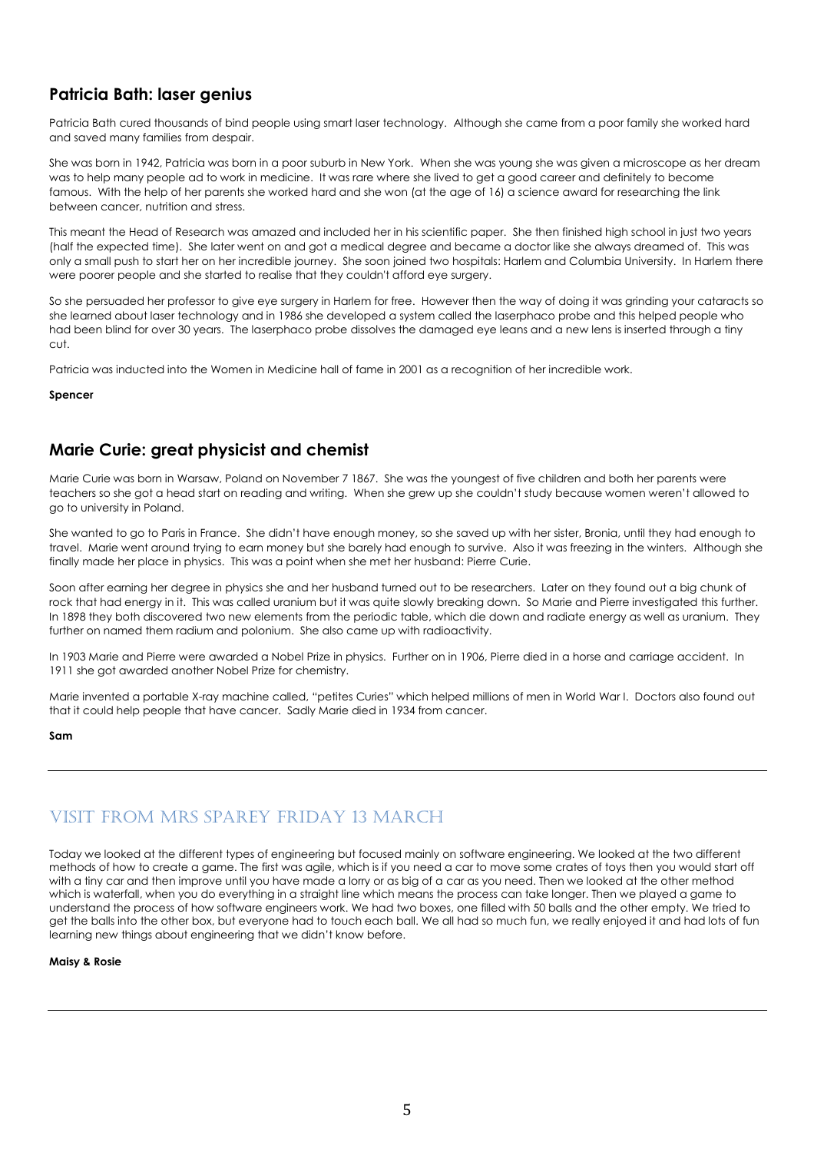## **Patricia Bath: laser genius**

Patricia Bath cured thousands of bind people using smart laser technology. Although she came from a poor family she worked hard and saved many families from despair.

She was born in 1942, Patricia was born in a poor suburb in New York. When she was young she was given a microscope as her dream was to help many people ad to work in medicine. It was rare where she lived to get a good career and definitely to become famous. With the help of her parents she worked hard and she won (at the age of 16) a science award for researching the link between cancer, nutrition and stress.

This meant the Head of Research was amazed and included her in his scientific paper. She then finished high school in just two years (half the expected time). She later went on and got a medical degree and became a doctor like she always dreamed of. This was only a small push to start her on her incredible journey. She soon joined two hospitals: Harlem and Columbia University. In Harlem there were poorer people and she started to realise that they couldn't afford eye surgery.

So she persuaded her professor to give eye surgery in Harlem for free. However then the way of doing it was grinding your cataracts so she learned about laser technology and in 1986 she developed a system called the laserphaco probe and this helped people who had been blind for over 30 years. The laserphaco probe dissolves the damaged eye leans and a new lens is inserted through a tiny cut.

Patricia was inducted into the Women in Medicine hall of fame in 2001 as a recognition of her incredible work.

**Spencer**

## **Marie Curie: great physicist and chemist**

Marie Curie was born in Warsaw, Poland on November 7 1867. She was the youngest of five children and both her parents were teachers so she got a head start on reading and writing. When she grew up she couldn't study because women weren't allowed to go to university in Poland.

She wanted to go to Paris in France. She didn't have enough money, so she saved up with her sister, Bronia, until they had enough to travel. Marie went around trying to earn money but she barely had enough to survive. Also it was freezing in the winters. Although she finally made her place in physics. This was a point when she met her husband: Pierre Curie.

Soon after earning her degree in physics she and her husband turned out to be researchers. Later on they found out a big chunk of rock that had energy in it. This was called uranium but it was quite slowly breaking down. So Marie and Pierre investigated this further. In 1898 they both discovered two new elements from the periodic table, which die down and radiate energy as well as uranium. They further on named them radium and polonium. She also came up with radioactivity.

In 1903 Marie and Pierre were awarded a Nobel Prize in physics. Further on in 1906, Pierre died in a horse and carriage accident. In 1911 she got awarded another Nobel Prize for chemistry.

Marie invented a portable X-ray machine called, "petites Curies" which helped millions of men in World War I. Doctors also found out that it could help people that have cancer. Sadly Marie died in 1934 from cancer.

**Sam**

## Visit from Mrs Sparey Friday 13 March

Today we looked at the different types of engineering but focused mainly on software engineering. We looked at the two different methods of how to create a game. The first was agile, which is if you need a car to move some crates of toys then you would start off with a tiny car and then improve until you have made a lorry or as big of a car as you need. Then we looked at the other method which is waterfall, when you do everything in a straight line which means the process can take longer. Then we played a game to understand the process of how software engineers work. We had two boxes, one filled with 50 balls and the other empty. We tried to get the balls into the other box, but everyone had to touch each ball. We all had so much fun, we really enjoyed it and had lots of fun learning new things about engineering that we didn't know before.

**Maisy & Rosie**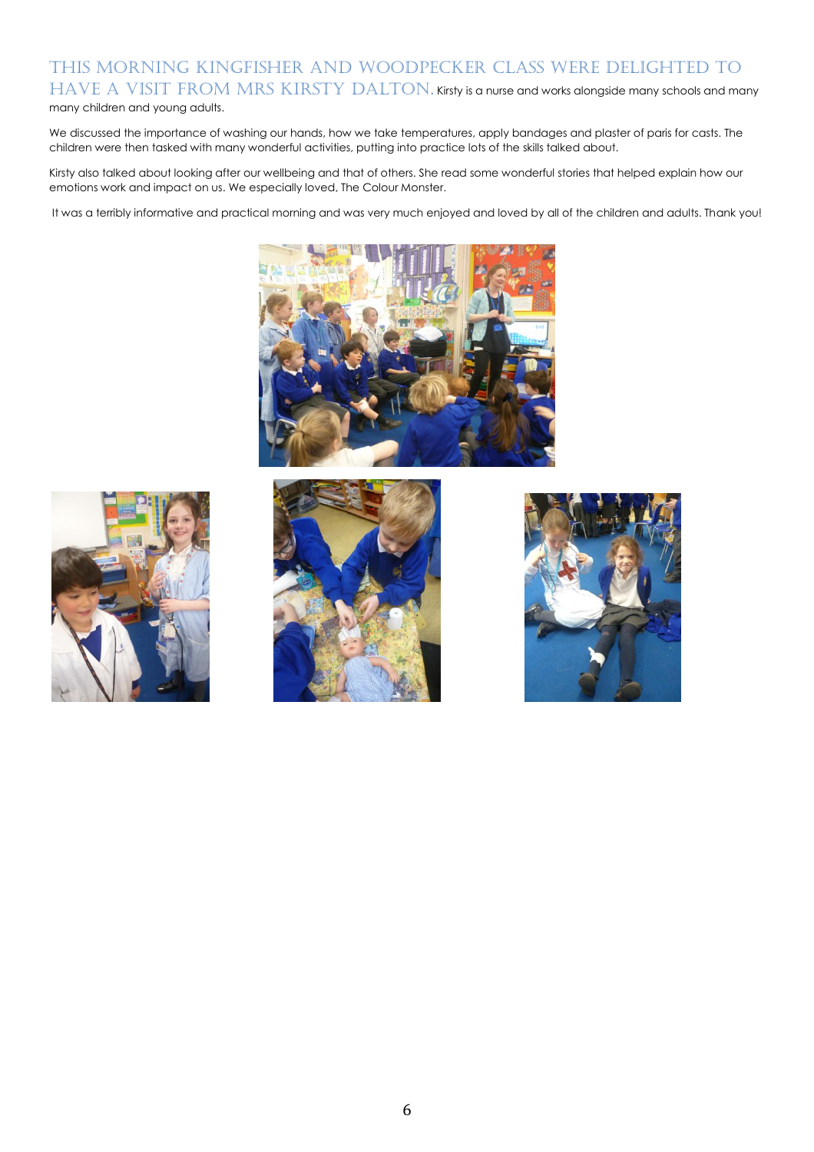## This morning Kingfisher and Woodpecker class were delighted to HAVE A VISIT FROM MRS KIRSTY DALTON. Kirsty is a nurse and works alongside many schools and many many children and young adults.

We discussed the importance of washing our hands, how we take temperatures, apply bandages and plaster of paris for casts. The children were then tasked with many wonderful activities, putting into practice lots of the skills talked about.

Kirsty also talked about looking after our wellbeing and that of others. She read some wonderful stories that helped explain how our emotions work and impact on us. We especially loved, The Colour Monster.

It was a terribly informative and practical morning and was very much enjoyed and loved by all of the children and adults. Thank you!







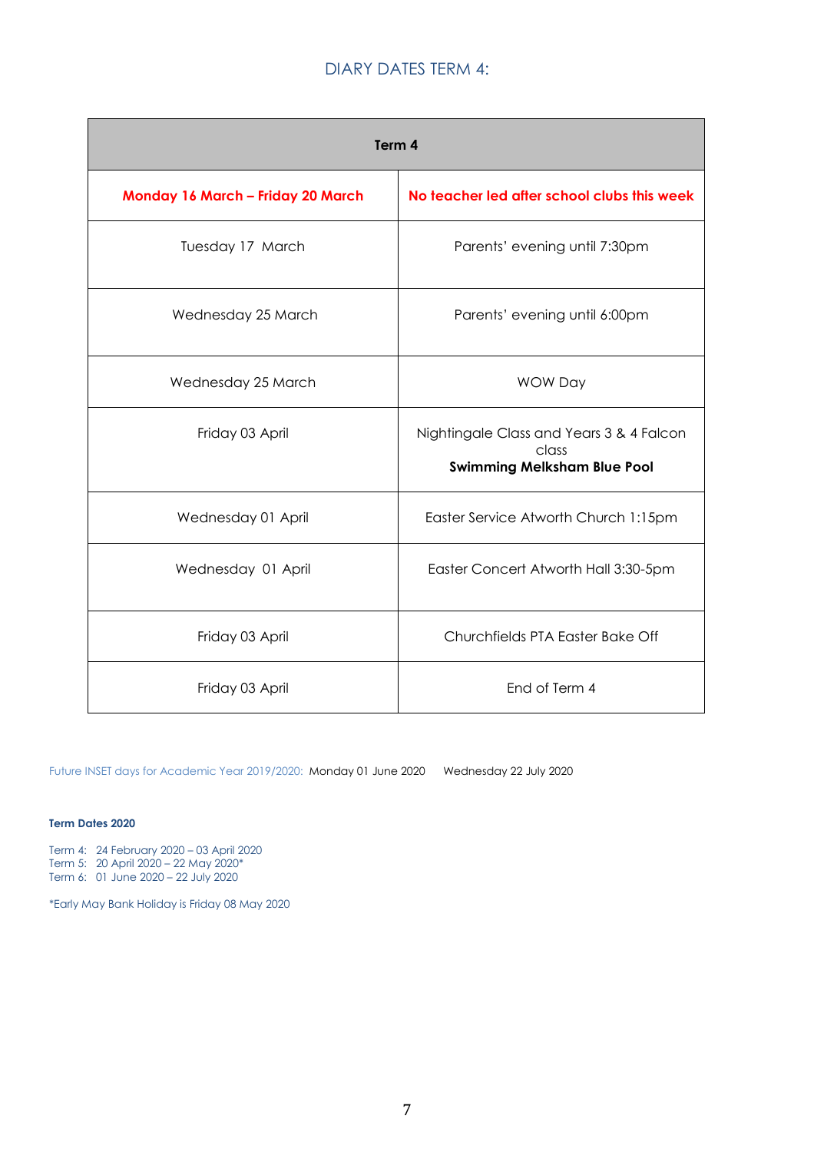## DIARY DATES TERM 4:

| Term 4                            |                                                                                         |
|-----------------------------------|-----------------------------------------------------------------------------------------|
| Monday 16 March - Friday 20 March | No teacher led after school clubs this week                                             |
| Tuesday 17 March                  | Parents' evening until 7:30pm                                                           |
| Wednesday 25 March                | Parents' evening until 6:00pm                                                           |
| Wednesday 25 March                | <b>WOW Day</b>                                                                          |
| Friday 03 April                   | Nightingale Class and Years 3 & 4 Falcon<br>class<br><b>Swimming Melksham Blue Pool</b> |
| Wednesday 01 April                | Easter Service Atworth Church 1:15pm                                                    |
| Wednesday 01 April                | Easter Concert Atworth Hall 3:30-5pm                                                    |
| Friday 03 April                   | Churchfields PTA Easter Bake Off                                                        |
| Friday 03 April                   | End of Term 4                                                                           |

Future INSET days for Academic Year 2019/2020: Monday 01 June 2020 Wednesday 22 July 2020

#### **Term Dates 2020**

Term 4: 24 February 2020 – 03 April 2020 Term 5: 20 April 2020 – 22 May 2020\* Term 6: 01 June 2020 – 22 July 2020

\*Early May Bank Holiday is Friday 08 May 2020